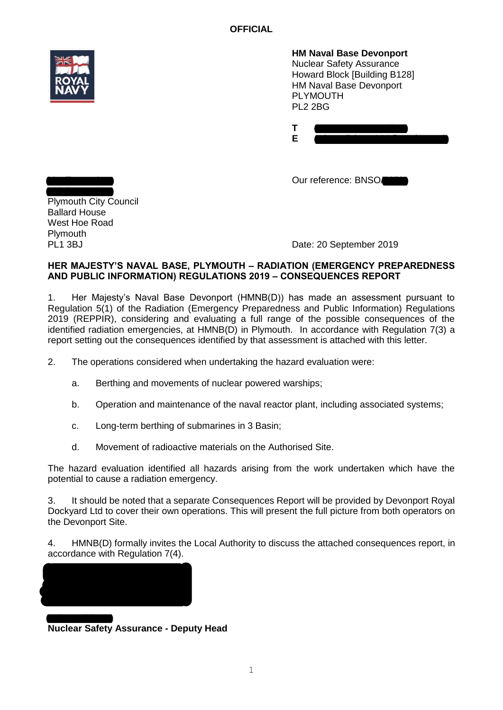**OFFICIAL**



**HM Naval Base Devonport** Nuclear Safety Assurance Howard Block [Building B128] HM Naval Base Devonport PLYMOUTH PL2 2BG

| ___ |
|-----|

Our reference: BNSO/

Chief Executive Plymouth City Council Ballard House West Hoe Road **Plymouth** PL<sub>1</sub> 3BJ

Mrs Tracey Lee

Date: 20 September 2019

## **HER MAJESTY'S NAVAL BASE, PLYMOUTH – RADIATION (EMERGENCY PREPAREDNESS AND PUBLIC INFORMATION) REGULATIONS 2019 – CONSEQUENCES REPORT**

1. Her Majesty's Naval Base Devonport (HMNB(D)) has made an assessment pursuant to Regulation 5(1) of the Radiation (Emergency Preparedness and Public Information) Regulations 2019 (REPPIR), considering and evaluating a full range of the possible consequences of the identified radiation emergencies, at HMNB(D) in Plymouth. In accordance with Regulation 7(3) a report setting out the consequences identified by that assessment is attached with this letter.

2. The operations considered when undertaking the hazard evaluation were:

- a. Berthing and movements of nuclear powered warships;
- b. Operation and maintenance of the naval reactor plant, including associated systems;
- c. Long-term berthing of submarines in 3 Basin;
- d. Movement of radioactive materials on the Authorised Site.

The hazard evaluation identified all hazards arising from the work undertaken which have the potential to cause a radiation emergency.

3. It should be noted that a separate Consequences Report will be provided by Devonport Royal Dockyard Ltd to cover their own operations. This will present the full picture from both operators on the Devonport Site.

4. HMNB(D) formally invites the Local Authority to discuss the attached consequences report, in accordance with Regulation 7(4).



**Nuclear Safety Assurance - Deputy Head**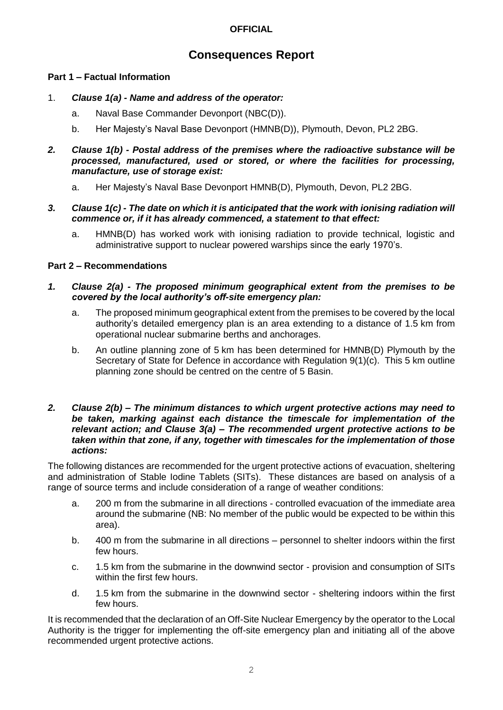# **OFFICIAL**

# **Consequences Report**

# **Part 1 – Factual Information**

- 1. *Clause 1(a) - Name and address of the operator:*
	- a. Naval Base Commander Devonport (NBC(D)).
	- b. Her Majesty's Naval Base Devonport (HMNB(D)), Plymouth, Devon, PL2 2BG.
- *2. Clause 1(b) - Postal address of the premises where the radioactive substance will be processed, manufactured, used or stored, or where the facilities for processing, manufacture, use of storage exist:*
	- a. Her Majesty's Naval Base Devonport HMNB(D), Plymouth, Devon, PL2 2BG.
- *3. Clause 1(c) - The date on which it is anticipated that the work with ionising radiation will commence or, if it has already commenced, a statement to that effect:*
	- a. HMNB(D) has worked work with ionising radiation to provide technical, logistic and administrative support to nuclear powered warships since the early 1970's.

# **Part 2 – Recommendations**

## *1. Clause 2(a) - The proposed minimum geographical extent from the premises to be covered by the local authority's off-site emergency plan:*

- a. The proposed minimum geographical extent from the premises to be covered by the local authority's detailed emergency plan is an area extending to a distance of 1.5 km from operational nuclear submarine berths and anchorages.
- b. An outline planning zone of 5 km has been determined for HMNB(D) Plymouth by the Secretary of State for Defence in accordance with Regulation 9(1)(c). This 5 km outline planning zone should be centred on the centre of 5 Basin.

#### *2. Clause 2(b) – The minimum distances to which urgent protective actions may need to be taken, marking against each distance the timescale for implementation of the relevant action; and Clause 3(a) – The recommended urgent protective actions to be taken within that zone, if any, together with timescales for the implementation of those actions:*

The following distances are recommended for the urgent protective actions of evacuation, sheltering and administration of Stable Iodine Tablets (SITs). These distances are based on analysis of a range of source terms and include consideration of a range of weather conditions:

- a. 200 m from the submarine in all directions controlled evacuation of the immediate area around the submarine (NB: No member of the public would be expected to be within this area).
- b. 400 m from the submarine in all directions personnel to shelter indoors within the first few hours.
- c. 1.5 km from the submarine in the downwind sector provision and consumption of SITs within the first few hours.
- d. 1.5 km from the submarine in the downwind sector sheltering indoors within the first few hours.

It is recommended that the declaration of an Off-Site Nuclear Emergency by the operator to the Local Authority is the trigger for implementing the off-site emergency plan and initiating all of the above recommended urgent protective actions.